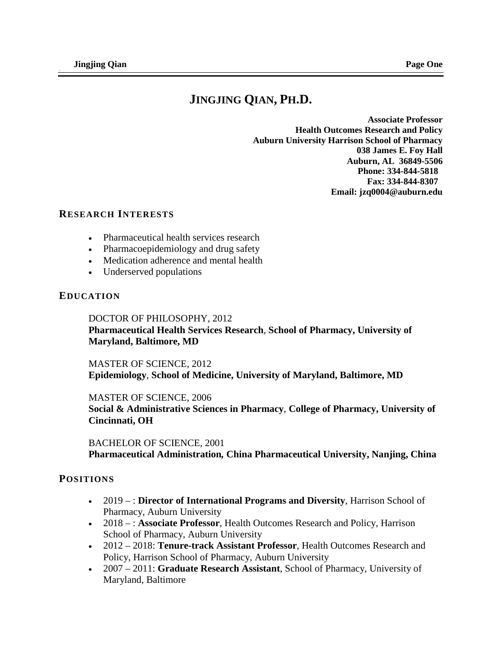# **JINGJING QIAN, PH.D.**

**Associate Professor Health Outcomes Research and Policy Auburn University Harrison School of Pharmacy 038 James E. Foy Hall Auburn, AL 36849-5506 Phone: 334-844-5818 Fax: 334-844-8307 Email: jzq0004@auburn.edu**

### **RESEARCH INTERESTS**

- Pharmaceutical health services research
- Pharmacoepidemiology and drug safety
- Medication adherence and mental health
- Underserved populations

### **EDUCATION**

DOCTOR OF PHILOSOPHY, 2012 **Pharmaceutical Health Services Research**, **School of Pharmacy, University of Maryland, Baltimore, MD**

#### MASTER OF SCIENCE, 2012

**Epidemiology**, **School of Medicine, University of Maryland, Baltimore, MD**

#### MASTER OF SCIENCE, 2006

**Social & Administrative Sciences in Pharmacy**, **College of Pharmacy, University of Cincinnati, OH**

BACHELOR OF SCIENCE, 2001 **Pharmaceutical Administration***,* **China Pharmaceutical University, Nanjing, China**

### **POSITIONS**

- 2019 : **Director of International Programs and Diversity**, Harrison School of Pharmacy, Auburn University
- 2018 : **Associate Professor**, Health Outcomes Research and Policy, Harrison School of Pharmacy, Auburn University
- 2012 2018: **Tenure-track Assistant Professor**, Health Outcomes Research and Policy, Harrison School of Pharmacy, Auburn University
- 2007 2011: **Graduate Research Assistant**, School of Pharmacy, University of Maryland, Baltimore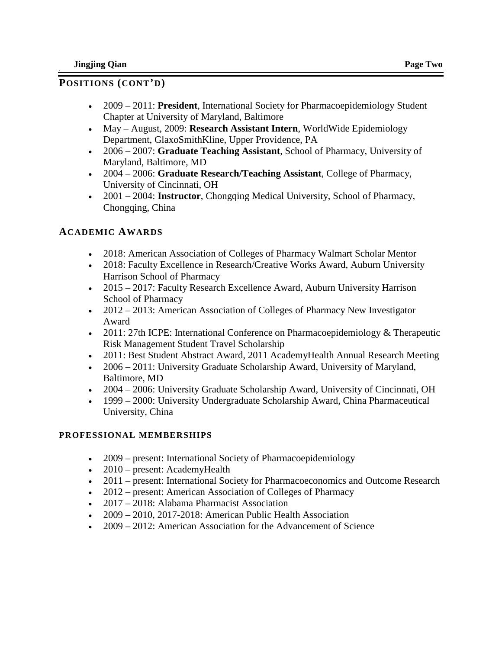# **POSITIONS (CONT'D)**

- 2009 2011: **President**, International Society for Pharmacoepidemiology Student Chapter at University of Maryland, Baltimore
- May August, 2009: **Research Assistant Intern**, WorldWide Epidemiology Department, GlaxoSmithKline, Upper Providence, PA
- 2006 2007: **Graduate Teaching Assistant**, School of Pharmacy, University of Maryland, Baltimore, MD
- 2004 2006: **Graduate Research/Teaching Assistant**, College of Pharmacy, University of Cincinnati, OH
- 2001 2004: **Instructor**, Chongqing Medical University, School of Pharmacy, Chongqing, China

# **ACADEMIC AWARDS**

- 2018: American Association of Colleges of Pharmacy Walmart Scholar Mentor
- 2018: Faculty Excellence in Research/Creative Works Award, Auburn University Harrison School of Pharmacy
- 2015 2017: Faculty Research Excellence Award, Auburn University Harrison School of Pharmacy
- 2012 2013: American Association of Colleges of Pharmacy New Investigator Award
- 2011: 27th ICPE: International Conference on Pharmacoepidemiology & Therapeutic Risk Management Student Travel Scholarship
- 2011: Best Student Abstract Award, 2011 AcademyHealth Annual Research Meeting
- 2006 2011: University Graduate Scholarship Award, University of Maryland, Baltimore, MD
- 2004 2006: University Graduate Scholarship Award, University of Cincinnati, OH
- 1999 2000: University Undergraduate Scholarship Award, China Pharmaceutical University, China

# **PROFESSIONAL MEMBERSHIPS**

- 2009 present: International Society of Pharmacoepidemiology
- 2010 present: AcademyHealth
- 2011 present: International Society for Pharmacoeconomics and Outcome Research
- 2012 present: American Association of Colleges of Pharmacy
- 2017 2018: Alabama Pharmacist Association
- 2009 2010, 2017-2018: American Public Health Association
- 2009 2012: American Association for the Advancement of Science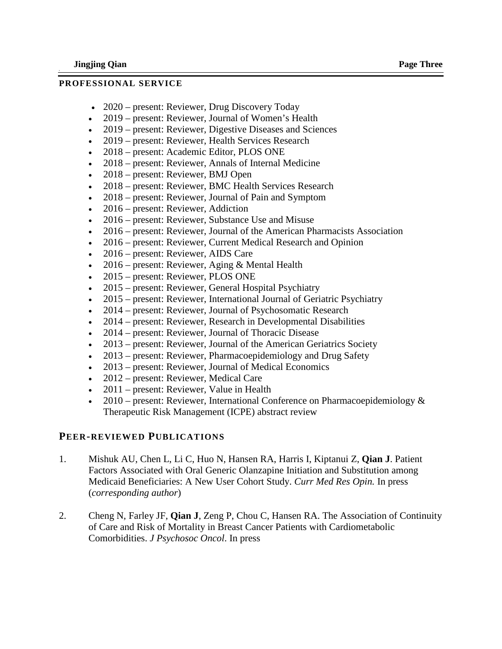### **PROFESSIONAL SERVICE**

- 2020 present: Reviewer, Drug Discovery Today
- 2019 present: Reviewer, Journal of Women's Health
- 2019 present: Reviewer, Digestive Diseases and Sciences
- 2019 present: Reviewer, Health Services Research
- 2018 present: Academic Editor, PLOS ONE
- 2018 present: Reviewer, Annals of Internal Medicine
- 2018 present: Reviewer, BMJ Open
- 2018 present: Reviewer, BMC Health Services Research
- 2018 present: Reviewer, Journal of Pain and Symptom
- 2016 present: Reviewer, Addiction
- 2016 present: Reviewer, Substance Use and Misuse
- 2016 present: Reviewer, Journal of the American Pharmacists Association
- 2016 present: Reviewer, Current Medical Research and Opinion
- 2016 present: Reviewer, AIDS Care
- 2016 present: Reviewer, Aging  $&$  Mental Health
- 2015 present: Reviewer, PLOS ONE
- 2015 present: Reviewer, General Hospital Psychiatry
- 2015 present: Reviewer, International Journal of Geriatric Psychiatry
- 2014 present: Reviewer, Journal of Psychosomatic Research
- 2014 present: Reviewer, Research in Developmental Disabilities
- 2014 present: Reviewer, Journal of Thoracic Disease
- 2013 present: Reviewer, Journal of the American Geriatrics Society
- 2013 present: Reviewer, Pharmacoepidemiology and Drug Safety
- 2013 present: Reviewer, Journal of Medical Economics
- 2012 present: Reviewer, Medical Care
- 2011 present: Reviewer, Value in Health
- 2010 present: Reviewer, International Conference on Pharmacoepidemiology  $\&$ Therapeutic Risk Management (ICPE) abstract review

### **PEER-REVIEWED PUBLICATIONS**

- 1. Mishuk AU, Chen L, Li C, Huo N, Hansen RA, Harris I, Kiptanui Z, **Qian J**. Patient Factors Associated with Oral Generic Olanzapine Initiation and Substitution among Medicaid Beneficiaries: A New User Cohort Study. *Curr Med Res Opin.* In press (*corresponding author*)
- 2. Cheng N, Farley JF, **Qian J**, Zeng P, Chou C, Hansen RA. The Association of Continuity of Care and Risk of Mortality in Breast Cancer Patients with Cardiometabolic Comorbidities. *J Psychosoc Oncol*. In press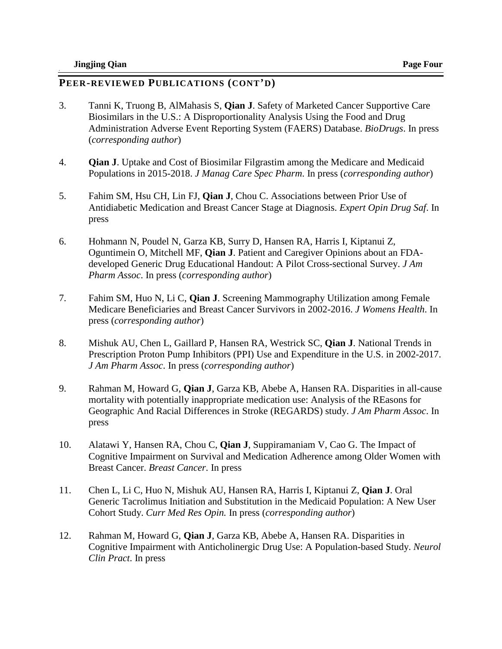- 3. Tanni K, Truong B, AlMahasis S, **Qian J**. Safety of Marketed Cancer Supportive Care Biosimilars in the U.S.: A Disproportionality Analysis Using the Food and Drug Administration Adverse Event Reporting System (FAERS) Database. *BioDrugs*. In press (*corresponding author*)
- 4. **Qian J**. Uptake and Cost of Biosimilar Filgrastim among the Medicare and Medicaid Populations in 2015-2018. *J Manag Care Spec Pharm*. In press (*corresponding author*)
- 5. Fahim SM, Hsu CH, Lin FJ, **Qian J**, Chou C. Associations between Prior Use of Antidiabetic Medication and Breast Cancer Stage at Diagnosis. *Expert Opin Drug Saf*. In press
- 6. Hohmann N, Poudel N, Garza KB, Surry D, Hansen RA, Harris I, Kiptanui Z, Oguntimein O, Mitchell MF, **Qian J**. Patient and Caregiver Opinions about an FDAdeveloped Generic Drug Educational Handout: A Pilot Cross-sectional Survey. *J Am Pharm Assoc*. In press (*corresponding author*)
- 7. Fahim SM, Huo N, Li C, **Qian J**. Screening Mammography Utilization among Female Medicare Beneficiaries and Breast Cancer Survivors in 2002-2016. *J Womens Health*. In press (*corresponding author*)
- 8. Mishuk AU, Chen L, Gaillard P, Hansen RA, Westrick SC, **Qian J**. National Trends in Prescription Proton Pump Inhibitors (PPI) Use and Expenditure in the U.S. in 2002-2017. *J Am Pharm Assoc*. In press (*corresponding author*)
- 9. Rahman M, Howard G, **Qian J**, Garza KB, Abebe A, Hansen RA. Disparities in all-cause mortality with potentially inappropriate medication use: Analysis of the REasons for Geographic And Racial Differences in Stroke (REGARDS) study. *J Am Pharm Assoc*. In press
- 10. Alatawi Y, Hansen RA, Chou C, **Qian J**, Suppiramaniam V, Cao G. The Impact of Cognitive Impairment on Survival and Medication Adherence among Older Women with Breast Cancer. *Breast Cancer*. In press
- 11. Chen L, Li C, Huo N, Mishuk AU, Hansen RA, Harris I, Kiptanui Z, **Qian J**. Oral Generic Tacrolimus Initiation and Substitution in the Medicaid Population: A New User Cohort Study. *Curr Med Res Opin.* In press (*corresponding author*)
- 12. Rahman M, Howard G, **Qian J**, Garza KB, Abebe A, Hansen RA. Disparities in Cognitive Impairment with Anticholinergic Drug Use: A Population-based Study. *Neurol Clin Pract*. In press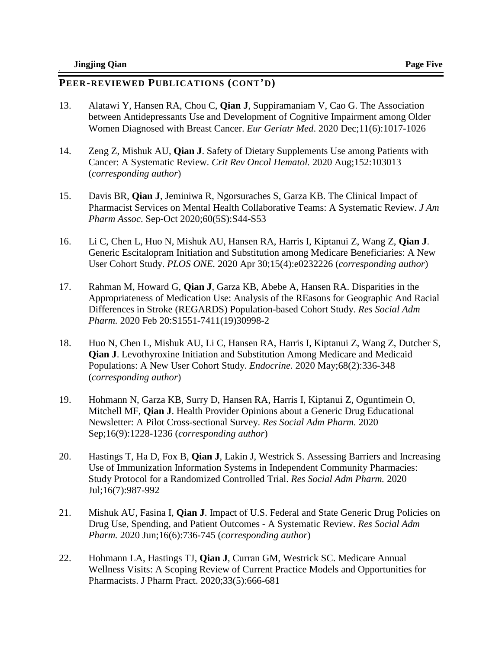- 13. Alatawi Y, Hansen RA, Chou C, **Qian J**, Suppiramaniam V, Cao G. The Association between Antidepressants Use and Development of Cognitive Impairment among Older Women Diagnosed with Breast Cancer. *Eur Geriatr Med*. 2020 Dec;11(6):1017-1026
- 14. Zeng Z, Mishuk AU, **Qian J**. Safety of Dietary Supplements Use among Patients with Cancer: A Systematic Review. *Crit Rev Oncol Hematol.* 2020 Aug;152:103013 (*corresponding author*)
- 15. Davis BR, **Qian J**, Jeminiwa R, Ngorsuraches S, Garza KB. The Clinical Impact of Pharmacist Services on Mental Health Collaborative Teams: A Systematic Review. *J Am Pharm Assoc*. Sep-Oct 2020;60(5S):S44-S53
- 16. Li C, Chen L, Huo N, Mishuk AU, Hansen RA, Harris I, Kiptanui Z, Wang Z, **Qian J**. Generic Escitalopram Initiation and Substitution among Medicare Beneficiaries: A New User Cohort Study. *PLOS ONE.* 2020 Apr 30;15(4):e0232226 (*corresponding author*)
- 17. Rahman M, Howard G, **Qian J**, Garza KB, Abebe A, Hansen RA. Disparities in the Appropriateness of Medication Use: Analysis of the REasons for Geographic And Racial Differences in Stroke (REGARDS) Population-based Cohort Study. *Res Social Adm Pharm.* 2020 Feb 20:S1551-7411(19)30998-2
- 18. Huo N, Chen L, Mishuk AU, Li C, Hansen RA, Harris I, Kiptanui Z, Wang Z, Dutcher S, **Qian J**. Levothyroxine Initiation and Substitution Among Medicare and Medicaid Populations: A New User Cohort Study. *Endocrine.* 2020 May;68(2):336-348 (*corresponding author*)
- 19. Hohmann N, Garza KB, Surry D, Hansen RA, Harris I, Kiptanui Z, Oguntimein O, Mitchell MF, **Qian J**. Health Provider Opinions about a Generic Drug Educational Newsletter: A Pilot Cross-sectional Survey. *Res Social Adm Pharm.* 2020 Sep;16(9):1228-1236 (*corresponding author*)
- 20. Hastings T, Ha D, Fox B, **Qian J**, Lakin J, Westrick S. Assessing Barriers and Increasing Use of Immunization Information Systems in Independent Community Pharmacies: Study Protocol for a Randomized Controlled Trial. *Res Social Adm Pharm.* 2020 Jul;16(7):987-992
- 21. Mishuk AU, Fasina I, **Qian J**. Impact of U.S. Federal and State Generic Drug Policies on Drug Use, Spending, and Patient Outcomes - A Systematic Review. *Res Social Adm Pharm.* 2020 Jun;16(6):736-745 (*corresponding author*)
- 22. Hohmann LA, Hastings TJ, **Qian J**, Curran GM, Westrick SC. Medicare Annual Wellness Visits: A Scoping Review of Current Practice Models and Opportunities for Pharmacists. J Pharm Pract. 2020;33(5):666-681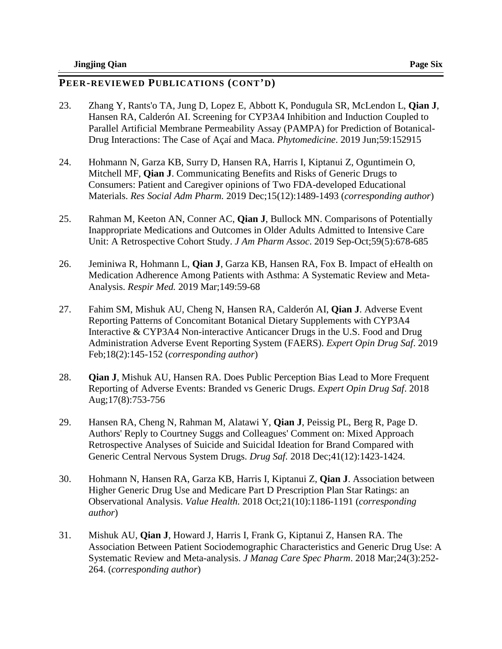- 23. Zhang Y, Rants'o TA, Jung D, Lopez E, Abbott K, Pondugula SR, McLendon L, **Qian J**, Hansen RA, Calderón AI. Screening for CYP3A4 Inhibition and Induction Coupled to Parallel Artificial Membrane Permeability Assay (PAMPA) for Prediction of Botanical-Drug Interactions: The Case of Açaí and Maca. *Phytomedicine*. 2019 Jun;59:152915
- 24. Hohmann N, Garza KB, Surry D, Hansen RA, Harris I, Kiptanui Z, Oguntimein O, Mitchell MF, **Qian J**. Communicating Benefits and Risks of Generic Drugs to Consumers: Patient and Caregiver opinions of Two FDA-developed Educational Materials. *Res Social Adm Pharm.* 2019 Dec;15(12):1489-1493 (*corresponding author*)
- 25. Rahman M, Keeton AN, Conner AC, **Qian J**, Bullock MN. Comparisons of Potentially Inappropriate Medications and Outcomes in Older Adults Admitted to Intensive Care Unit: A Retrospective Cohort Study. *J Am Pharm Assoc*. 2019 Sep-Oct;59(5):678-685
- 26. Jeminiwa R, Hohmann L, **Qian J**, Garza KB, Hansen RA, Fox B. Impact of eHealth on Medication Adherence Among Patients with Asthma: A Systematic Review and Meta-Analysis. *Respir Med.* 2019 Mar;149:59-68
- 27. Fahim SM, Mishuk AU, Cheng N, Hansen RA, Calderón AI, **Qian J**. Adverse Event Reporting Patterns of Concomitant Botanical Dietary Supplements with CYP3A4 Interactive & CYP3A4 Non-interactive Anticancer Drugs in the U.S. Food and Drug Administration Adverse Event Reporting System (FAERS). *Expert Opin Drug Saf*. 2019 Feb;18(2):145-152 (*corresponding author*)
- 28. **Qian J**, Mishuk AU, Hansen RA. Does Public Perception Bias Lead to More Frequent Reporting of Adverse Events: Branded vs Generic Drugs. *Expert Opin Drug Saf*. 2018 Aug;17(8):753-756
- 29. Hansen RA, Cheng N, Rahman M, Alatawi Y, **Qian J**, Peissig PL, Berg R, Page D. Authors' Reply to Courtney Suggs and Colleagues' Comment on: Mixed Approach Retrospective Analyses of Suicide and Suicidal Ideation for Brand Compared with Generic Central Nervous System Drugs. *Drug Saf.* 2018 Dec;41(12):1423-1424.
- 30. Hohmann N, Hansen RA, Garza KB, Harris I, Kiptanui Z, **Qian J**. Association between Higher Generic Drug Use and Medicare Part D Prescription Plan Star Ratings: an Observational Analysis. *Value Health.* 2018 Oct;21(10):1186-1191 (*corresponding author*)
- 31. Mishuk AU, **Qian J**, Howard J, Harris I, Frank G, Kiptanui Z, Hansen RA. The Association Between Patient Sociodemographic Characteristics and Generic Drug Use: A Systematic Review and Meta-analysis. *J Manag Care Spec Pharm*. 2018 Mar;24(3):252- 264. (*corresponding author*)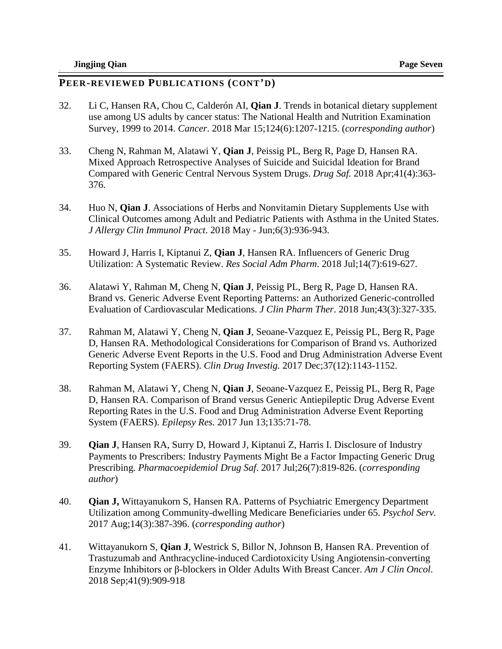- 32. Li C, Hansen RA, Chou C, Calderón AI, **Qian J**. Trends in botanical dietary supplement use among US adults by cancer status: The National Health and Nutrition Examination Survey, 1999 to 2014. *Cancer*. 2018 Mar 15;124(6):1207-1215. (*corresponding author*)
- 33. Cheng N, Rahman M, Alatawi Y, **Qian J**, Peissig PL, Berg R, Page D, Hansen RA. Mixed Approach Retrospective Analyses of Suicide and Suicidal Ideation for Brand Compared with Generic Central Nervous System Drugs. *Drug Saf.* 2018 Apr;41(4):363- 376.
- 34. Huo N, **Qian J**. Associations of Herbs and Nonvitamin Dietary Supplements Use with Clinical Outcomes among Adult and Pediatric Patients with Asthma in the United States. *J Allergy Clin Immunol Pract*. 2018 May - Jun;6(3):936-943.
- 35. Howard J, Harris I, Kiptanui Z, **Qian J**, Hansen RA. Influencers of Generic Drug Utilization: A Systematic Review. *Res Social Adm Pharm*. 2018 Jul;14(7):619-627.
- 36. Alatawi Y, Rahman M, Cheng N, **Qian J**, Peissig PL, Berg R, Page D, Hansen RA. Brand vs. Generic Adverse Event Reporting Patterns: an Authorized Generic-controlled Evaluation of Cardiovascular Medications. *J Clin Pharm Ther*. 2018 Jun;43(3):327-335.
- 37. Rahman M, Alatawi Y, Cheng N, **Qian J**, Seoane-Vazquez E, Peissig PL, Berg R, Page D, Hansen RA. Methodological Considerations for Comparison of Brand vs. Authorized Generic Adverse Event Reports in the U.S. Food and Drug Administration Adverse Event Reporting System (FAERS). *Clin Drug Investig.* 2017 Dec;37(12):1143-1152.
- 38. Rahman M, Alatawi Y, Cheng N, **Qian J**, Seoane-Vazquez E, Peissig PL, Berg R, Page D, Hansen RA. Comparison of Brand versus Generic Antiepileptic Drug Adverse Event Reporting Rates in the U.S. Food and Drug Administration Adverse Event Reporting System (FAERS). *Epilepsy Res.* 2017 Jun 13;135:71-78.
- 39. **Qian J**, Hansen RA, Surry D, Howard J, Kiptanui Z, Harris I. Disclosure of Industry Payments to Prescribers: Industry Payments Might Be a Factor Impacting Generic Drug Prescribing. *Pharmacoepidemiol Drug Saf*. 2017 Jul;26(7):819-826. (*corresponding author*)
- 40. **Qian J,** Wittayanukorn S, Hansen RA. Patterns of Psychiatric Emergency Department Utilization among Community-dwelling Medicare Beneficiaries under 65. *Psychol Serv.* 2017 Aug;14(3):387-396. (*corresponding author*)
- 41. Wittayanukorn S, **Qian J**, Westrick S, Billor N, Johnson B, Hansen RA. Prevention of Trastuzumab and Anthracycline-induced Cardiotoxicity Using Angiotensin-converting Enzyme Inhibitors or β-blockers in Older Adults With Breast Cancer. *Am J Clin Oncol*. 2018 Sep;41(9):909-918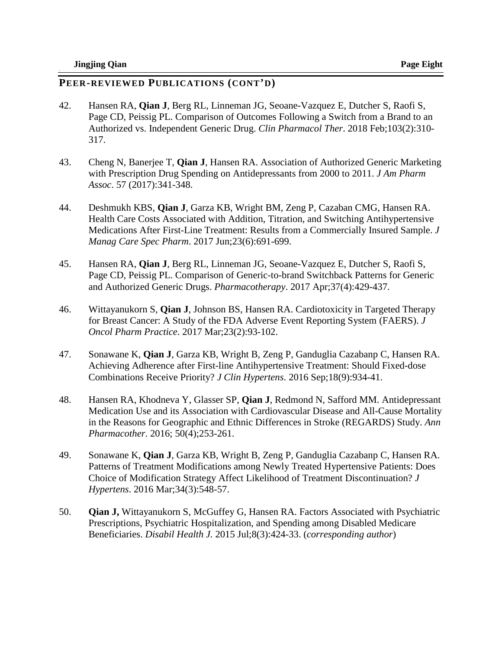- 42. Hansen RA, **Qian J**, Berg RL, Linneman JG, Seoane-Vazquez E, Dutcher S, Raofi S, Page CD, Peissig PL. Comparison of Outcomes Following a Switch from a Brand to an Authorized vs. Independent Generic Drug. *Clin Pharmacol Ther*. 2018 Feb;103(2):310- 317.
- 43. Cheng N, Banerjee T, **Qian J**, Hansen RA. Association of Authorized Generic Marketing with Prescription Drug Spending on Antidepressants from 2000 to 2011. *J Am Pharm Assoc*. 57 (2017):341-348.
- 44. Deshmukh KBS, **Qian J**, Garza KB, Wright BM, Zeng P, Cazaban CMG, Hansen RA. Health Care Costs Associated with Addition, Titration, and Switching Antihypertensive Medications After First-Line Treatment: Results from a Commercially Insured Sample. *J Manag Care Spec Pharm*. 2017 Jun;23(6):691-699.
- 45. Hansen RA, **Qian J**, Berg RL, Linneman JG, Seoane-Vazquez E, Dutcher S, Raofi S, Page CD, Peissig PL. Comparison of Generic-to-brand Switchback Patterns for Generic and Authorized Generic Drugs. *Pharmacotherapy*. 2017 Apr;37(4):429-437.
- 46. Wittayanukorn S, **Qian J**, Johnson BS, Hansen RA. Cardiotoxicity in Targeted Therapy for Breast Cancer: A Study of the FDA Adverse Event Reporting System (FAERS). *J Oncol Pharm Practice*. 2017 Mar;23(2):93-102.
- 47. Sonawane K, **Qian J**, Garza KB, Wright B, Zeng P, Ganduglia Cazabanp C, Hansen RA. Achieving Adherence after First-line Antihypertensive Treatment: Should Fixed-dose Combinations Receive Priority? *J Clin Hypertens*. 2016 Sep;18(9):934-41.
- 48. Hansen RA, Khodneva Y, Glasser SP, **Qian J**, Redmond N, Safford MM. Antidepressant Medication Use and its Association with Cardiovascular Disease and All-Cause Mortality in the Reasons for Geographic and Ethnic Differences in Stroke (REGARDS) Study. *Ann Pharmacother*. 2016; 50(4);253-261.
- 49. Sonawane K, **Qian J**, Garza KB, Wright B, Zeng P, Ganduglia Cazabanp C, Hansen RA. Patterns of Treatment Modifications among Newly Treated Hypertensive Patients: Does Choice of Modification Strategy Affect Likelihood of Treatment Discontinuation? *J Hypertens*. 2016 Mar;34(3):548-57.
- 50. **Qian J,** Wittayanukorn S, McGuffey G, Hansen RA. Factors Associated with Psychiatric Prescriptions, Psychiatric Hospitalization, and Spending among Disabled Medicare Beneficiaries. *Disabil Health J.* 2015 Jul;8(3):424-33. (*corresponding author*)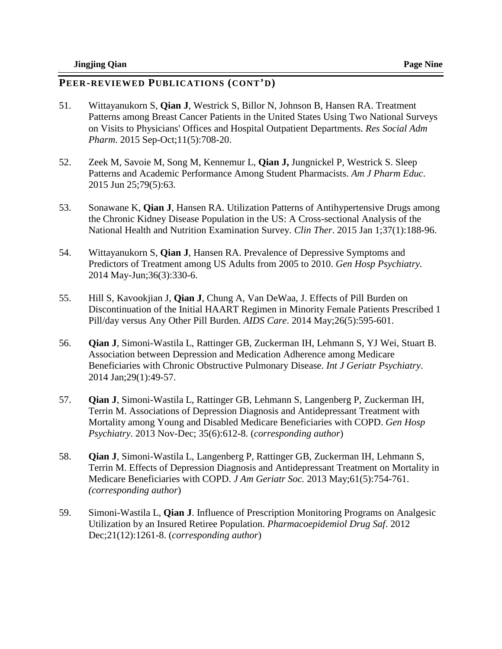- 51. Wittayanukorn S, **Qian J**, Westrick S, Billor N, Johnson B, Hansen RA. Treatment Patterns among Breast Cancer Patients in the United States Using Two National Surveys on Visits to Physicians' Offices and Hospital Outpatient Departments. *Res Social Adm Pharm*. 2015 Sep-Oct;11(5):708-20.
- 52. Zeek M, Savoie M, Song M, Kennemur L, **Qian J,** Jungnickel P, Westrick S. Sleep Patterns and Academic Performance Among Student Pharmacists. *Am J Pharm Educ*. 2015 Jun 25;79(5):63.
- 53. Sonawane K, **Qian J**, Hansen RA. Utilization Patterns of Antihypertensive Drugs among the Chronic Kidney Disease Population in the US: A Cross-sectional Analysis of the National Health and Nutrition Examination Survey. *Clin Ther*. 2015 Jan 1;37(1):188-96.
- 54. Wittayanukorn S, **Qian J**, Hansen RA. Prevalence of Depressive Symptoms and Predictors of Treatment among US Adults from 2005 to 2010. *Gen Hosp Psychiatry.*  2014 May-Jun;36(3):330-6.
- 55. Hill S, Kavookjian J, **Qian J**, Chung A, Van DeWaa, J. Effects of Pill Burden on Discontinuation of the Initial HAART Regimen in Minority Female Patients Prescribed 1 Pill/day versus Any Other Pill Burden. *AIDS Care*. 2014 May;26(5):595-601.
- 56. **Qian J**, Simoni-Wastila L, Rattinger GB, Zuckerman IH, Lehmann S, YJ Wei, Stuart B. Association between Depression and Medication Adherence among Medicare Beneficiaries with Chronic Obstructive Pulmonary Disease. *Int J Geriatr Psychiatry*. 2014 Jan;29(1):49-57.
- 57. **Qian J**, Simoni-Wastila L, Rattinger GB, Lehmann S, Langenberg P, Zuckerman IH, Terrin M. Associations of Depression Diagnosis and Antidepressant Treatment with Mortality among Young and Disabled Medicare Beneficiaries with COPD. *Gen Hosp Psychiatry*. 2013 Nov-Dec; 35(6):612-8. (*corresponding author*)
- 58. **Qian J**, Simoni-Wastila L, Langenberg P, Rattinger GB, Zuckerman IH, Lehmann S, Terrin M. Effects of Depression Diagnosis and Antidepressant Treatment on Mortality in Medicare Beneficiaries with COPD. *J Am Geriatr Soc.* 2013 May;61(5):754-761. *(corresponding author*)
- 59. Simoni-Wastila L, **Qian J**. Influence of Prescription Monitoring Programs on Analgesic Utilization by an Insured Retiree Population. *Pharmacoepidemiol Drug Saf*. 2012 Dec;21(12):1261-8. (*corresponding author*)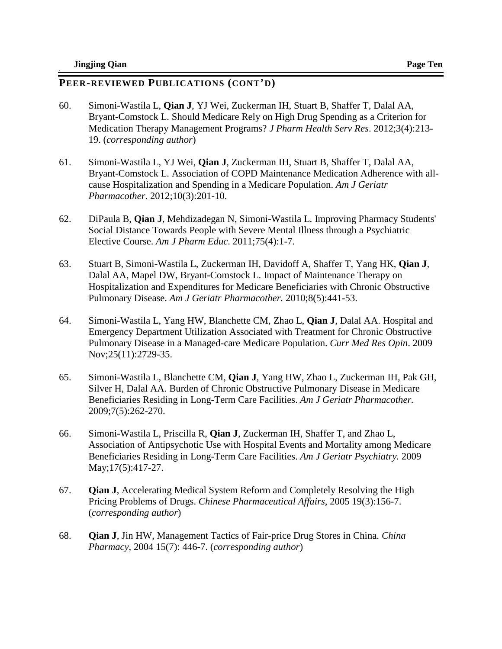- 60. Simoni-Wastila L, **Qian J**, YJ Wei, Zuckerman IH, Stuart B, Shaffer T, Dalal AA, Bryant-Comstock L. Should Medicare Rely on High Drug Spending as a Criterion for Medication Therapy Management Programs? *J Pharm Health Serv Res*. 2012;3(4):213- 19. (*corresponding author*)
- 61. Simoni-Wastila L, YJ Wei, **Qian J**, Zuckerman IH, Stuart B, Shaffer T, Dalal AA, Bryant-Comstock L. Association of COPD Maintenance Medication Adherence with allcause Hospitalization and Spending in a Medicare Population. *Am J Geriatr Pharmacother*. 2012;10(3):201-10.
- 62. DiPaula B, **Qian J**, Mehdizadegan N, Simoni-Wastila L. Improving Pharmacy Students' Social Distance Towards People with Severe Mental Illness through a Psychiatric Elective Course. *Am J Pharm Educ*. 2011;75(4):1-7.
- 63. Stuart B, Simoni-Wastila L, Zuckerman IH, Davidoff A, Shaffer T, Yang HK, **Qian J**, Dalal AA, Mapel DW, Bryant-Comstock L. Impact of Maintenance Therapy on Hospitalization and Expenditures for Medicare Beneficiaries with Chronic Obstructive Pulmonary Disease. *Am J Geriatr Pharmacother.* 2010;8(5):441-53.
- 64. Simoni-Wastila L, Yang HW, Blanchette CM, Zhao L, **Qian J**, Dalal AA. [Hospital and](http://www.ncbi.nlm.nih.gov/pubmed/19778165?itool=EntrezSystem2.PEntrez.Pubmed.Pubmed_ResultsPanel.Pubmed_RVDocSum&ordinalpos=2)  [Emergency Department Utilization Associated with Treatment for Chronic Obstructive](http://www.ncbi.nlm.nih.gov/pubmed/19778165?itool=EntrezSystem2.PEntrez.Pubmed.Pubmed_ResultsPanel.Pubmed_RVDocSum&ordinalpos=2)  [Pulmonary Disease in a Managed-care Medicare Population.](http://www.ncbi.nlm.nih.gov/pubmed/19778165?itool=EntrezSystem2.PEntrez.Pubmed.Pubmed_ResultsPanel.Pubmed_RVDocSum&ordinalpos=2) *Curr Med Res Opin*. 2009 Nov;25(11):2729-35.
- 65. Simoni-Wastila L, Blanchette CM, **Qian J**, Yang HW, Zhao L, Zuckerman IH, Pak GH, Silver H, Dalal AA. Burden of Chronic Obstructive Pulmonary Disease in Medicare Beneficiaries Residing in Long-Term Care Facilities. *Am J Geriatr Pharmacother.* 2009;7(5):262-270.
- 66. Simoni-Wastila L, Priscilla R, **Qian J**, Zuckerman IH, Shaffer T, and Zhao L, Association of Antipsychotic Use with Hospital Events and Mortality among Medicare Beneficiaries Residing in Long-Term Care Facilities. *Am J Geriatr Psychiatry.* 2009 May;17(5):417-27.
- 67. **Qian J**, Accelerating Medical System Reform and Completely Resolving the High Pricing Problems of Drugs. *Chinese Pharmaceutical Affairs*, 2005 19(3):156-7. (*corresponding author*)
- 68. **Qian J**, Jin HW, Management Tactics of Fair-price Drug Stores in China. *China Pharmacy*, 2004 15(7): 446-7. (*corresponding author*)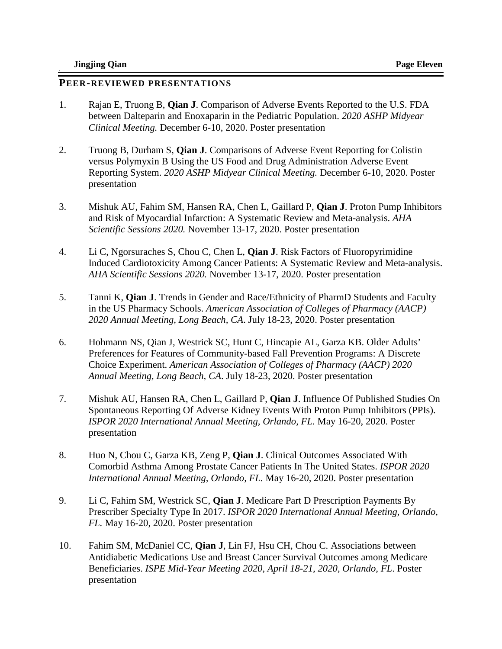#### **PEER-REVIEWED PRESENTATIONS**

- 1. Rajan E, Truong B, **Qian J**. Comparison of Adverse Events Reported to the U.S. FDA between Dalteparin and Enoxaparin in the Pediatric Population. *2020 ASHP Midyear Clinical Meeting.* December 6-10, 2020. Poster presentation
- 2. Truong B, Durham S, **Qian J**. Comparisons of Adverse Event Reporting for Colistin versus Polymyxin B Using the US Food and Drug Administration Adverse Event Reporting System. *2020 ASHP Midyear Clinical Meeting.* December 6-10, 2020. Poster presentation
- 3. Mishuk AU, Fahim SM, Hansen RA, Chen L, Gaillard P, **Qian J**. Proton Pump Inhibitors and Risk of Myocardial Infarction: A Systematic Review and Meta-analysis. *AHA Scientific Sessions 2020.* November 13-17, 2020. Poster presentation
- 4. Li C, Ngorsuraches S, Chou C, Chen L, **Qian J**. Risk Factors of Fluoropyrimidine Induced Cardiotoxicity Among Cancer Patients: A Systematic Review and Meta-analysis. *AHA Scientific Sessions 2020.* November 13-17, 2020. Poster presentation
- 5. Tanni K, **Qian J**. Trends in Gender and Race/Ethnicity of PharmD Students and Faculty in the US Pharmacy Schools. *American Association of Colleges of Pharmacy (AACP) 2020 Annual Meeting, Long Beach, CA*. July 18-23, 2020. Poster presentation
- 6. Hohmann NS, Qian J, Westrick SC, Hunt C, Hincapie AL, Garza KB. Older Adults' Preferences for Features of Community-based Fall Prevention Programs: A Discrete Choice Experiment. *American Association of Colleges of Pharmacy (AACP) 2020 Annual Meeting, Long Beach, CA*. July 18-23, 2020. Poster presentation
- 7. Mishuk AU, Hansen RA, Chen L, Gaillard P, **Qian J**. Influence Of Published Studies On Spontaneous Reporting Of Adverse Kidney Events With Proton Pump Inhibitors (PPIs). *ISPOR 2020 International Annual Meeting, Orlando, FL.* May 16-20, 2020. Poster presentation
- 8. Huo N, Chou C, Garza KB, Zeng P, **Qian J**. Clinical Outcomes Associated With Comorbid Asthma Among Prostate Cancer Patients In The United States. *ISPOR 2020 International Annual Meeting, Orlando, FL.* May 16-20, 2020. Poster presentation
- 9. Li C, Fahim SM, Westrick SC, **Qian J**. Medicare Part D Prescription Payments By Prescriber Specialty Type In 2017. *ISPOR 2020 International Annual Meeting, Orlando, FL.* May 16-20, 2020. Poster presentation
- 10. Fahim SM, McDaniel CC, **Qian J**, Lin FJ, Hsu CH, Chou C. Associations between Antidiabetic Medications Use and Breast Cancer Survival Outcomes among Medicare Beneficiaries. *ISPE Mid-Year Meeting 2020, April 18-21, 2020, Orlando, FL*. Poster presentation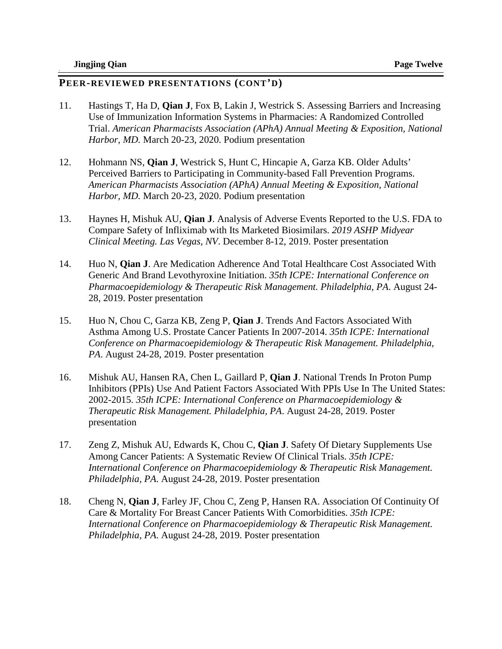- 11. Hastings T, Ha D, **Qian J**, Fox B, Lakin J, Westrick S. Assessing Barriers and Increasing Use of Immunization Information Systems in Pharmacies: A Randomized Controlled Trial. *American Pharmacists Association (APhA) Annual Meeting & Exposition, National Harbor, MD.* March 20-23, 2020. Podium presentation
- 12. Hohmann NS, **Qian J**, Westrick S, Hunt C, Hincapie A, Garza KB. Older Adults' Perceived Barriers to Participating in Community-based Fall Prevention Programs. *American Pharmacists Association (APhA) Annual Meeting & Exposition, National Harbor, MD.* March 20-23, 2020. Podium presentation
- 13. Haynes H, Mishuk AU, **Qian J**. Analysis of Adverse Events Reported to the U.S. FDA to Compare Safety of Infliximab with Its Marketed Biosimilars. *2019 ASHP Midyear Clinical Meeting. Las Vegas, NV*. December 8-12, 2019. Poster presentation
- 14. Huo N, **Qian J**. Are Medication Adherence And Total Healthcare Cost Associated With Generic And Brand Levothyroxine Initiation. *35th ICPE: International Conference on Pharmacoepidemiology & Therapeutic Risk Management. Philadelphia, PA*. August 24- 28, 2019. Poster presentation
- 15. Huo N, Chou C, Garza KB, Zeng P, **Qian J**. Trends And Factors Associated With Asthma Among U.S. Prostate Cancer Patients In 2007-2014. *35th ICPE: International Conference on Pharmacoepidemiology & Therapeutic Risk Management. Philadelphia, PA*. August 24-28, 2019. Poster presentation
- 16. Mishuk AU, Hansen RA, Chen L, Gaillard P, **Qian J**. National Trends In Proton Pump Inhibitors (PPIs) Use And Patient Factors Associated With PPIs Use In The United States: 2002-2015. *35th ICPE: International Conference on Pharmacoepidemiology & Therapeutic Risk Management. Philadelphia, PA*. August 24-28, 2019. Poster presentation
- 17. Zeng Z, Mishuk AU, Edwards K, Chou C, **Qian J**. Safety Of Dietary Supplements Use Among Cancer Patients: A Systematic Review Of Clinical Trials. *35th ICPE: International Conference on Pharmacoepidemiology & Therapeutic Risk Management. Philadelphia, PA*. August 24-28, 2019. Poster presentation
- 18. Cheng N, **Qian J**, Farley JF, Chou C, Zeng P, Hansen RA. Association Of Continuity Of Care & Mortality For Breast Cancer Patients With Comorbidities. *35th ICPE: International Conference on Pharmacoepidemiology & Therapeutic Risk Management. Philadelphia, PA*. August 24-28, 2019. Poster presentation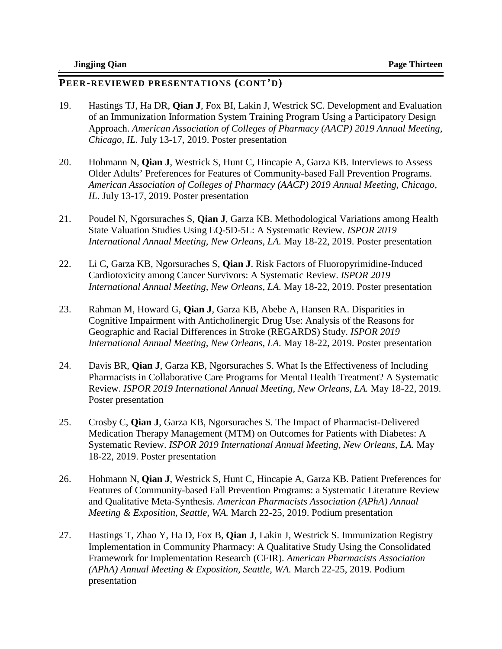- 19. Hastings TJ, Ha DR, **Qian J**, Fox BI, Lakin J, Westrick SC. Development and Evaluation of an Immunization Information System Training Program Using a Participatory Design Approach. *American Association of Colleges of Pharmacy (AACP) 2019 Annual Meeting, Chicago, IL*. July 13-17, 2019. Poster presentation
- 20. Hohmann N, **Qian J**, Westrick S, Hunt C, Hincapie A, Garza KB. Interviews to Assess Older Adults' Preferences for Features of Community-based Fall Prevention Programs. *American Association of Colleges of Pharmacy (AACP) 2019 Annual Meeting, Chicago, IL*. July 13-17, 2019. Poster presentation
- 21. Poudel N, Ngorsuraches S, **Qian J**, Garza KB. Methodological Variations among Health State Valuation Studies Using EQ-5D-5L: A Systematic Review. *ISPOR 2019 International Annual Meeting, New Orleans, LA.* May 18-22, 2019. Poster presentation
- 22. Li C, Garza KB, Ngorsuraches S, **Qian J**. Risk Factors of Fluoropyrimidine-Induced Cardiotoxicity among Cancer Survivors: A Systematic Review. *ISPOR 2019 International Annual Meeting, New Orleans, LA. May 18-22, 2019. Poster presentation*
- 23. Rahman M, Howard G, **Qian J**, Garza KB, Abebe A, Hansen RA. Disparities in Cognitive Impairment with Anticholinergic Drug Use: Analysis of the Reasons for Geographic and Racial Differences in Stroke (REGARDS) Study. *ISPOR 2019 International Annual Meeting, New Orleans, LA.* May 18-22, 2019. Poster presentation
- 24. Davis BR, **Qian J**, Garza KB, Ngorsuraches S. What Is the Effectiveness of Including Pharmacists in Collaborative Care Programs for Mental Health Treatment? A Systematic Review. *ISPOR 2019 International Annual Meeting, New Orleans, LA.* May 18-22, 2019. Poster presentation
- 25. Crosby C, **Qian J**, Garza KB, Ngorsuraches S. The Impact of Pharmacist-Delivered Medication Therapy Management (MTM) on Outcomes for Patients with Diabetes: A Systematic Review. *ISPOR 2019 International Annual Meeting, New Orleans, LA.* May 18-22, 2019. Poster presentation
- 26. Hohmann N, **Qian J**, Westrick S, Hunt C, Hincapie A, Garza KB. Patient Preferences for Features of Community-based Fall Prevention Programs: a Systematic Literature Review and Qualitative Meta-Synthesis. *American Pharmacists Association (APhA) Annual Meeting & Exposition, Seattle, WA.* March 22-25, 2019. Podium presentation
- 27. Hastings T, Zhao Y, Ha D, Fox B, **Qian J**, Lakin J, Westrick S. Immunization Registry Implementation in Community Pharmacy: A Qualitative Study Using the Consolidated Framework for Implementation Research (CFIR). *American Pharmacists Association (APhA) Annual Meeting & Exposition, Seattle, WA.* March 22-25, 2019. Podium presentation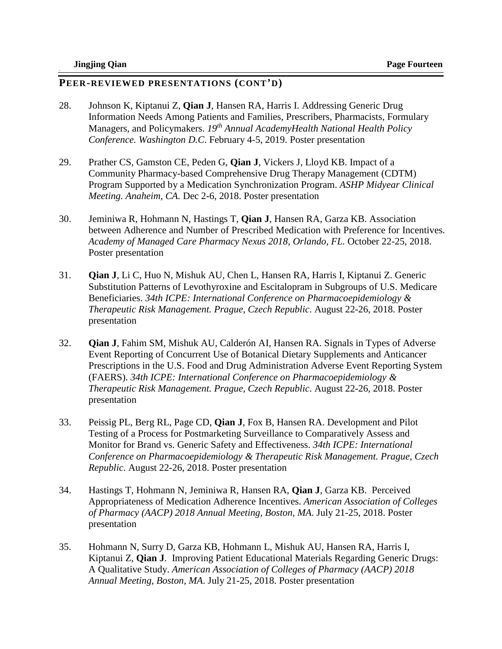- 28. Johnson K, Kiptanui Z, **Qian J**, Hansen RA, Harris I. Addressing Generic Drug Information Needs Among Patients and Families, Prescribers, Pharmacists, Formulary Managers, and Policymakers. *19th Annual AcademyHealth National Health Policy Conference. Washington D.C*. February 4-5, 2019. Poster presentation
- 29. Prather CS, Gamston CE, Peden G, **Qian J**, Vickers J, Lloyd KB. Impact of a Community Pharmacy-based Comprehensive Drug Therapy Management (CDTM) Program Supported by a Medication Synchronization Program. *ASHP Midyear Clinical Meeting. Anaheim, CA.* Dec 2-6, 2018. Poster presentation
- 30. Jeminiwa R, Hohmann N, Hastings T, **Qian J**, Hansen RA, Garza KB. Association between Adherence and Number of Prescribed Medication with Preference for Incentives. *Academy of Managed Care Pharmacy Nexus 2018, Orlando, FL.* October 22-25, 2018. Poster presentation
- 31. **Qian J**, Li C, Huo N, Mishuk AU, Chen L, Hansen RA, Harris I, Kiptanui Z. Generic Substitution Patterns of Levothyroxine and Escitalopram in Subgroups of U.S. Medicare Beneficiaries. *34th ICPE: International Conference on Pharmacoepidemiology & Therapeutic Risk Management. Prague, Czech Republic*. August 22-26, 2018. Poster presentation
- 32. **Qian J**, Fahim SM, Mishuk AU, Calderón AI, Hansen RA. Signals in Types of Adverse Event Reporting of Concurrent Use of Botanical Dietary Supplements and Anticancer Prescriptions in the U.S. Food and Drug Administration Adverse Event Reporting System (FAERS). *34th ICPE: International Conference on Pharmacoepidemiology & Therapeutic Risk Management. Prague, Czech Republic*. August 22-26, 2018. Poster presentation
- 33. Peissig PL, Berg RL, Page CD, **Qian J**, Fox B, Hansen RA. Development and Pilot Testing of a Process for Postmarketing Surveillance to Comparatively Assess and Monitor for Brand vs. Generic Safety and Effectiveness. *34th ICPE: International Conference on Pharmacoepidemiology & Therapeutic Risk Management. Prague, Czech Republic*. August 22-26, 2018. Poster presentation
- 34. Hastings T, Hohmann N, Jeminiwa R, Hansen RA, **Qian J**, Garza KB. Perceived Appropriateness of Medication Adherence Incentives. *American Association of Colleges of Pharmacy (AACP) 2018 Annual Meeting, Boston, MA*. July 21-25, 2018. Poster presentation
- 35. Hohmann N, Surry D, Garza KB, Hohmann L, Mishuk AU, Hansen RA, Harris I, Kiptanui Z, **Qian J**. Improving Patient Educational Materials Regarding Generic Drugs: A Qualitative Study. *American Association of Colleges of Pharmacy (AACP) 2018 Annual Meeting, Boston, MA*. July 21-25, 2018. Poster presentation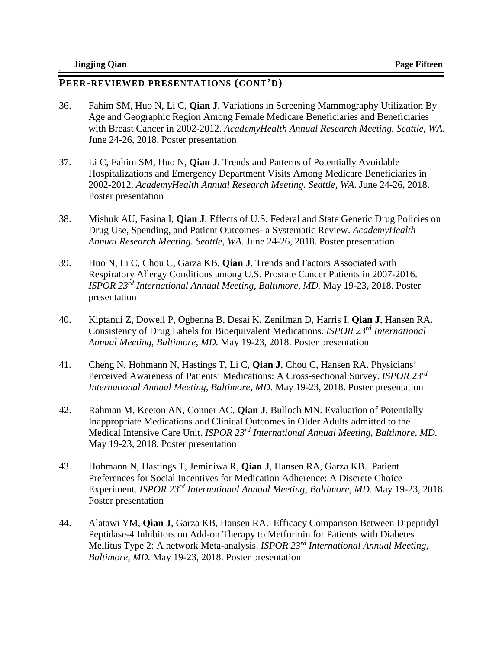- 36. Fahim SM, Huo N, Li C, **Qian J**. Variations in Screening Mammography Utilization By Age and Geographic Region Among Female Medicare Beneficiaries and Beneficiaries with Breast Cancer in 2002-2012. *AcademyHealth Annual Research Meeting. Seattle, WA*. June 24-26, 2018. Poster presentation
- 37. Li C, Fahim SM, Huo N, **Qian J**. Trends and Patterns of Potentially Avoidable Hospitalizations and Emergency Department Visits Among Medicare Beneficiaries in 2002-2012. *AcademyHealth Annual Research Meeting. Seattle, WA*. June 24-26, 2018. Poster presentation
- 38. Mishuk AU, Fasina I, **Qian J**. Effects of U.S. Federal and State Generic Drug Policies on Drug Use, Spending, and Patient Outcomes- a Systematic Review. *AcademyHealth Annual Research Meeting. Seattle, WA*. June 24-26, 2018. Poster presentation
- 39. Huo N, Li C, Chou C, Garza KB, **Qian J**. Trends and Factors Associated with Respiratory Allergy Conditions among U.S. Prostate Cancer Patients in 2007-2016. *ISPOR 23rd International Annual Meeting, Baltimore, MD.* May 19-23, 2018. Poster presentation
- 40. Kiptanui Z, Dowell P, Ogbenna B, Desai K, Zenilman D, Harris I, **Qian J**, Hansen RA. Consistency of Drug Labels for Bioequivalent Medications. *ISPOR 23rd International Annual Meeting, Baltimore, MD.* May 19-23, 2018. Poster presentation
- 41. Cheng N, Hohmann N, Hastings T, Li C, **Qian J**, Chou C, Hansen RA. Physicians' Perceived Awareness of Patients' Medications: A Cross-sectional Survey. *ISPOR 23rd International Annual Meeting, Baltimore, MD.* May 19-23, 2018. Poster presentation
- 42. Rahman M, Keeton AN, Conner AC, **Qian J**, Bulloch MN. Evaluation of Potentially Inappropriate Medications and Clinical Outcomes in Older Adults admitted to the Medical Intensive Care Unit. *ISPOR 23rd International Annual Meeting, Baltimore, MD.*  May 19-23, 2018. Poster presentation
- 43. Hohmann N, Hastings T, Jeminiwa R, **Qian J**, Hansen RA, Garza KB. Patient Preferences for Social Incentives for Medication Adherence: A Discrete Choice Experiment. *ISPOR 23rd International Annual Meeting, Baltimore, MD.* May 19-23, 2018. Poster presentation
- 44. Alatawi YM, **Qian J**, Garza KB, Hansen RA. Efficacy Comparison Between Dipeptidyl Peptidase-4 Inhibitors on Add-on Therapy to Metformin for Patients with Diabetes Mellitus Type 2: A network Meta-analysis. *ISPOR 23rd International Annual Meeting, Baltimore, MD.* May 19-23, 2018. Poster presentation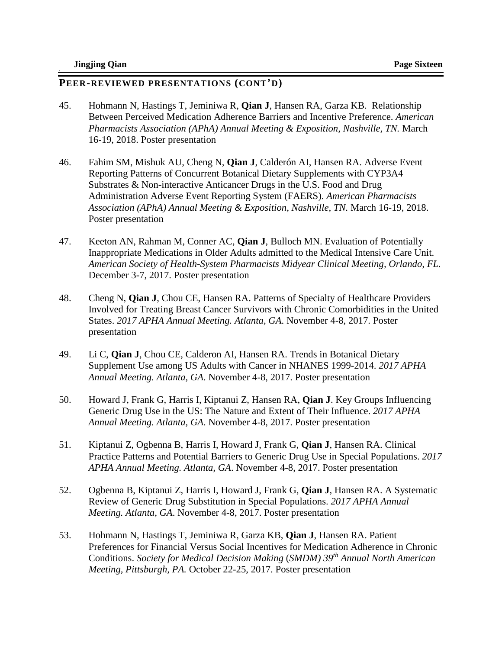- 45. Hohmann N, Hastings T, Jeminiwa R, **Qian J**, Hansen RA, Garza KB. Relationship Between Perceived Medication Adherence Barriers and Incentive Preference. *American Pharmacists Association (APhA) Annual Meeting & Exposition, Nashville, TN. March* 16-19, 2018. Poster presentation
- 46. Fahim SM, Mishuk AU, Cheng N, **Qian J**, Calderón AI, Hansen RA. Adverse Event Reporting Patterns of Concurrent Botanical Dietary Supplements with CYP3A4 Substrates & Non-interactive Anticancer Drugs in the U.S. Food and Drug Administration Adverse Event Reporting System (FAERS). *American Pharmacists Association (APhA) Annual Meeting & Exposition, Nashville, TN.* March 16-19, 2018. Poster presentation
- 47. Keeton AN, Rahman M, Conner AC, **Qian J**, Bulloch MN. Evaluation of Potentially Inappropriate Medications in Older Adults admitted to the Medical Intensive Care Unit. *American Society of Health-System Pharmacists Midyear Clinical Meeting, Orlando, FL.*  December 3-7, 2017. Poster presentation
- 48. Cheng N, **Qian J**, Chou CE, Hansen RA. Patterns of Specialty of Healthcare Providers Involved for Treating Breast Cancer Survivors with Chronic Comorbidities in the United States. *2017 APHA Annual Meeting. Atlanta, GA*. November 4-8, 2017. Poster presentation
- 49. Li C, **Qian J**, Chou CE, Calderon AI, Hansen RA. Trends in Botanical Dietary Supplement Use among US Adults with Cancer in NHANES 1999-2014. *2017 APHA Annual Meeting. Atlanta, GA*. November 4-8, 2017. Poster presentation
- 50. Howard J, Frank G, Harris I, Kiptanui Z, Hansen RA, **Qian J**. Key Groups Influencing Generic Drug Use in the US: The Nature and Extent of Their Influence. *2017 APHA Annual Meeting. Atlanta, GA*. November 4-8, 2017. Poster presentation
- 51. Kiptanui Z, Ogbenna B, Harris I, Howard J, Frank G, **Qian J**, Hansen RA. Clinical Practice Patterns and Potential Barriers to Generic Drug Use in Special Populations. *2017 APHA Annual Meeting. Atlanta, GA*. November 4-8, 2017. Poster presentation
- 52. Ogbenna B, Kiptanui Z, Harris I, Howard J, Frank G, **Qian J**, Hansen RA. A Systematic Review of Generic Drug Substitution in Special Populations. *2017 APHA Annual Meeting. Atlanta, GA*. November 4-8, 2017. Poster presentation
- 53. Hohmann N, Hastings T, Jeminiwa R, Garza KB, **Qian J**, Hansen RA. Patient Preferences for Financial Versus Social Incentives for Medication Adherence in Chronic Conditions. *Society for Medical Decision Making* (*SMDM) 39th Annual North American Meeting, Pittsburgh, PA.* October 22-25, 2017. Poster presentation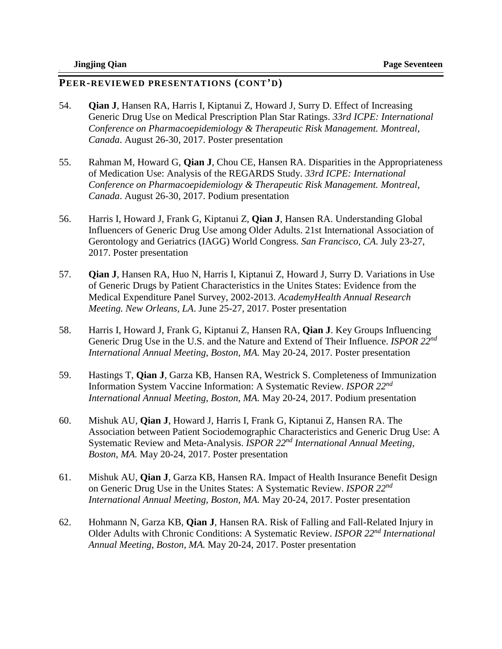- 54. **Qian J**, Hansen RA, Harris I, Kiptanui Z, Howard J, Surry D. Effect of Increasing Generic Drug Use on Medical Prescription Plan Star Ratings. *33rd ICPE: International Conference on Pharmacoepidemiology & Therapeutic Risk Management. Montreal, Canada*. August 26-30, 2017. Poster presentation
- 55. Rahman M, Howard G, **Qian J**, Chou CE, Hansen RA. Disparities in the Appropriateness of Medication Use: Analysis of the REGARDS Study. *33rd ICPE: International Conference on Pharmacoepidemiology & Therapeutic Risk Management. Montreal, Canada*. August 26-30, 2017. Podium presentation
- 56. Harris I, Howard J, Frank G, Kiptanui Z, **Qian J**, Hansen RA. Understanding Global Influencers of Generic Drug Use among Older Adults. 21st International Association of Gerontology and Geriatrics (IAGG) World Congress*. San Francisco, CA*. July 23-27, 2017. Poster presentation
- 57. **Qian J**, Hansen RA, Huo N, Harris I, Kiptanui Z, Howard J, Surry D. Variations in Use of Generic Drugs by Patient Characteristics in the Unites States: Evidence from the Medical Expenditure Panel Survey, 2002-2013. *AcademyHealth Annual Research Meeting. New Orleans, LA*. June 25-27, 2017. Poster presentation
- 58. Harris I, Howard J, Frank G, Kiptanui Z, Hansen RA, **Qian J**. Key Groups Influencing Generic Drug Use in the U.S. and the Nature and Extend of Their Influence. *ISPOR 22nd International Annual Meeting, Boston, MA.* May 20-24, 2017. Poster presentation
- 59. Hastings T, **Qian J**, Garza KB, Hansen RA, Westrick S. Completeness of Immunization Information System Vaccine Information: A Systematic Review. *ISPOR 22nd International Annual Meeting, Boston, MA.* May 20-24, 2017. Podium presentation
- 60. Mishuk AU, **Qian J**, Howard J, Harris I, Frank G, Kiptanui Z, Hansen RA. The Association between Patient Sociodemographic Characteristics and Generic Drug Use: A Systematic Review and Meta-Analysis. *ISPOR 22nd International Annual Meeting, Boston, MA.* May 20-24, 2017. Poster presentation
- 61. Mishuk AU, **Qian J**, Garza KB, Hansen RA. Impact of Health Insurance Benefit Design on Generic Drug Use in the Unites States: A Systematic Review. *ISPOR 22nd International Annual Meeting, Boston, MA.* May 20-24, 2017. Poster presentation
- 62. Hohmann N, Garza KB, **Qian J**, Hansen RA. Risk of Falling and Fall-Related Injury in Older Adults with Chronic Conditions: A Systematic Review. *ISPOR 22nd International Annual Meeting, Boston, MA.* May 20-24, 2017. Poster presentation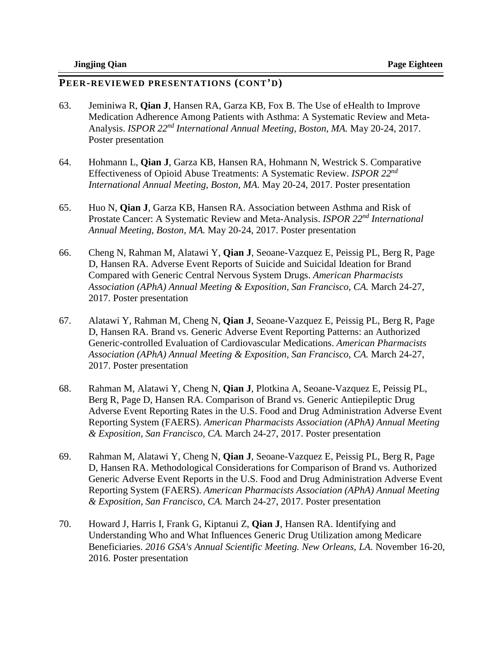- 63. Jeminiwa R, **Qian J**, Hansen RA, Garza KB, Fox B. The Use of eHealth to Improve Medication Adherence Among Patients with Asthma: A Systematic Review and Meta-Analysis. *ISPOR 22nd International Annual Meeting, Boston, MA.* May 20-24, 2017. Poster presentation
- 64. Hohmann L, **Qian J**, Garza KB, Hansen RA, Hohmann N, Westrick S. Comparative Effectiveness of Opioid Abuse Treatments: A Systematic Review. *ISPOR 22nd International Annual Meeting, Boston, MA.* May 20-24, 2017. Poster presentation
- 65. Huo N, **Qian J**, Garza KB, Hansen RA. Association between Asthma and Risk of Prostate Cancer: A Systematic Review and Meta-Analysis. *ISPOR 22nd International Annual Meeting, Boston, MA.* May 20-24, 2017. Poster presentation
- 66. Cheng N, Rahman M, Alatawi Y, **Qian J**, Seoane-Vazquez E, Peissig PL, Berg R, Page D, Hansen RA. Adverse Event Reports of Suicide and Suicidal Ideation for Brand Compared with Generic Central Nervous System Drugs. *American Pharmacists Association (APhA) Annual Meeting & Exposition, San Francisco, CA.* March 24-27, 2017. Poster presentation
- 67. Alatawi Y, Rahman M, Cheng N, **Qian J**, Seoane-Vazquez E, Peissig PL, Berg R, Page D, Hansen RA. Brand vs. Generic Adverse Event Reporting Patterns: an Authorized Generic-controlled Evaluation of Cardiovascular Medications. *American Pharmacists Association (APhA) Annual Meeting & Exposition, San Francisco, CA.* March 24-27, 2017. Poster presentation
- 68. Rahman M, Alatawi Y, Cheng N, **Qian J**, Plotkina A, Seoane-Vazquez E, Peissig PL, Berg R, Page D, Hansen RA. Comparison of Brand vs. Generic Antiepileptic Drug Adverse Event Reporting Rates in the U.S. Food and Drug Administration Adverse Event Reporting System (FAERS). *American Pharmacists Association (APhA) Annual Meeting & Exposition, San Francisco, CA.* March 24-27, 2017. Poster presentation
- 69. Rahman M, Alatawi Y, Cheng N, **Qian J**, Seoane-Vazquez E, Peissig PL, Berg R, Page D, Hansen RA. Methodological Considerations for Comparison of Brand vs. Authorized Generic Adverse Event Reports in the U.S. Food and Drug Administration Adverse Event Reporting System (FAERS). *American Pharmacists Association (APhA) Annual Meeting & Exposition, San Francisco, CA.* March 24-27, 2017. Poster presentation
- 70. Howard J, Harris I, Frank G, Kiptanui Z, **Qian J**, Hansen RA. Identifying and Understanding Who and What Influences Generic Drug Utilization among Medicare Beneficiaries. *2016 GSA's Annual Scientific Meeting. New Orleans, LA*. November 16-20, 2016. Poster presentation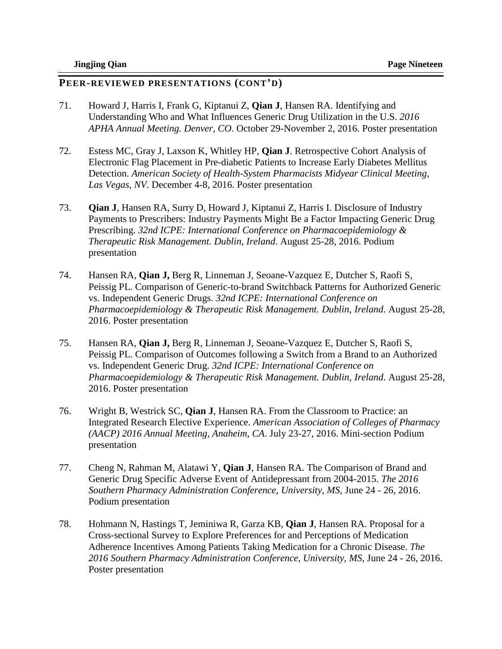- 71. Howard J, Harris I, Frank G, Kiptanui Z, **Qian J**, Hansen RA. Identifying and Understanding Who and What Influences Generic Drug Utilization in the U.S. *2016 APHA Annual Meeting. Denver, CO*. October 29-November 2, 2016. Poster presentation
- 72. Estess MC, Gray J, Laxson K, Whitley HP, **Qian J**. Retrospective Cohort Analysis of Electronic Flag Placement in Pre-diabetic Patients to Increase Early Diabetes Mellitus Detection. *American Society of Health-System Pharmacists Midyear Clinical Meeting, Las Vegas, NV.* December 4-8, 2016. Poster presentation
- 73. **Qian J**, Hansen RA, Surry D, Howard J, Kiptanui Z, Harris I. Disclosure of Industry Payments to Prescribers: Industry Payments Might Be a Factor Impacting Generic Drug Prescribing. *32nd ICPE: International Conference on Pharmacoepidemiology & Therapeutic Risk Management. Dublin, Ireland*. August 25-28, 2016. Podium presentation
- 74. Hansen RA, **Qian J,** Berg R, Linneman J, Seoane-Vazquez E, Dutcher S, Raofi S, Peissig PL. Comparison of Generic-to-brand Switchback Patterns for Authorized Generic vs. Independent Generic Drugs. *32nd ICPE: International Conference on Pharmacoepidemiology & Therapeutic Risk Management. Dublin, Ireland*. August 25-28, 2016. Poster presentation
- 75. Hansen RA, **Qian J,** Berg R, Linneman J, Seoane-Vazquez E, Dutcher S, Raofi S, Peissig PL. Comparison of Outcomes following a Switch from a Brand to an Authorized vs. Independent Generic Drug. *32nd ICPE: International Conference on Pharmacoepidemiology & Therapeutic Risk Management. Dublin, Ireland*. August 25-28, 2016. Poster presentation
- 76. Wright B, Westrick SC, **Qian J**, Hansen RA. From the Classroom to Practice: an Integrated Research Elective Experience. *American Association of Colleges of Pharmacy (AACP) 2016 Annual Meeting, Anaheim, CA*. July 23-27, 2016. Mini-section Podium presentation
- 77. Cheng N, Rahman M, Alatawi Y, **Qian J**, Hansen RA. The Comparison of Brand and Generic Drug Specific Adverse Event of Antidepressant from 2004-2015. *The 2016 Southern Pharmacy Administration Conference, University, MS*, June 24 - 26, 2016. Podium presentation
- 78. Hohmann N, Hastings T, Jeminiwa R, Garza KB, **Qian J**, Hansen RA. Proposal for a Cross-sectional Survey to Explore Preferences for and Perceptions of Medication Adherence Incentives Among Patients Taking Medication for a Chronic Disease. *The 2016 Southern Pharmacy Administration Conference, University, MS*, June 24 - 26, 2016. Poster presentation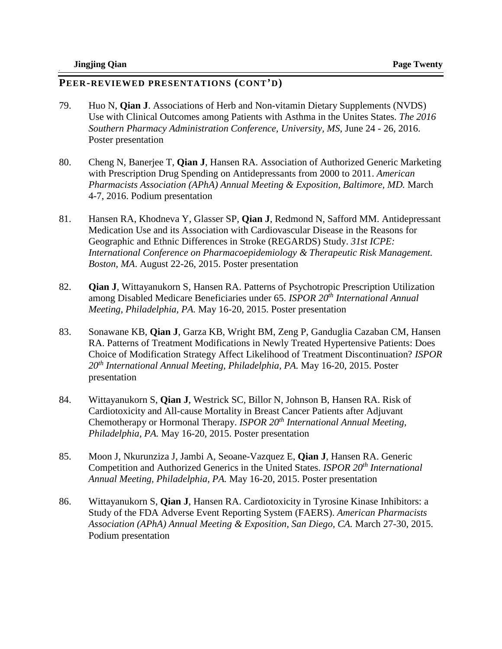- 79. Huo N, **Qian J**. Associations of Herb and Non-vitamin Dietary Supplements (NVDS) Use with Clinical Outcomes among Patients with Asthma in the Unites States. *The 2016 Southern Pharmacy Administration Conference, University, MS*, June 24 - 26, 2016. Poster presentation
- 80. Cheng N, Banerjee T, **Qian J**, Hansen RA. Association of Authorized Generic Marketing with Prescription Drug Spending on Antidepressants from 2000 to 2011. *American Pharmacists Association (APhA) Annual Meeting & Exposition, Baltimore, MD. March* 4-7, 2016. Podium presentation
- 81. Hansen RA, Khodneva Y, Glasser SP, **Qian J**, Redmond N, Safford MM. Antidepressant Medication Use and its Association with Cardiovascular Disease in the Reasons for Geographic and Ethnic Differences in Stroke (REGARDS) Study. *31st ICPE: International Conference on Pharmacoepidemiology & Therapeutic Risk Management. Boston, MA*. August 22-26, 2015. Poster presentation
- 82. **Qian J**, Wittayanukorn S, Hansen RA. Patterns of Psychotropic Prescription Utilization among Disabled Medicare Beneficiaries under 65. *ISPOR 20th International Annual Meeting, Philadelphia, PA.* May 16-20, 2015. Poster presentation
- 83. Sonawane KB, **Qian J**, Garza KB, Wright BM, Zeng P, Ganduglia Cazaban CM, Hansen RA. Patterns of Treatment Modifications in Newly Treated Hypertensive Patients: Does Choice of Modification Strategy Affect Likelihood of Treatment Discontinuation? *ISPOR 20th International Annual Meeting, Philadelphia, PA.* May 16-20, 2015. Poster presentation
- 84. Wittayanukorn S, **Qian J**, Westrick SC, Billor N, Johnson B, Hansen RA. Risk of Cardiotoxicity and All-cause Mortality in Breast Cancer Patients after Adjuvant Chemotherapy or Hormonal Therapy. *ISPOR 20th International Annual Meeting, Philadelphia, PA.* May 16-20, 2015. Poster presentation
- 85. Moon J, Nkurunziza J, Jambi A, Seoane-Vazquez E, **Qian J**, Hansen RA. Generic Competition and Authorized Generics in the United States. *ISPOR 20th International Annual Meeting, Philadelphia, PA.* May 16-20, 2015. Poster presentation
- 86. Wittayanukorn S, **Qian J**, Hansen RA. Cardiotoxicity in Tyrosine Kinase Inhibitors: a Study of the FDA Adverse Event Reporting System (FAERS). *American Pharmacists Association (APhA) Annual Meeting & Exposition, San Diego, CA.* March 27-30, 2015. Podium presentation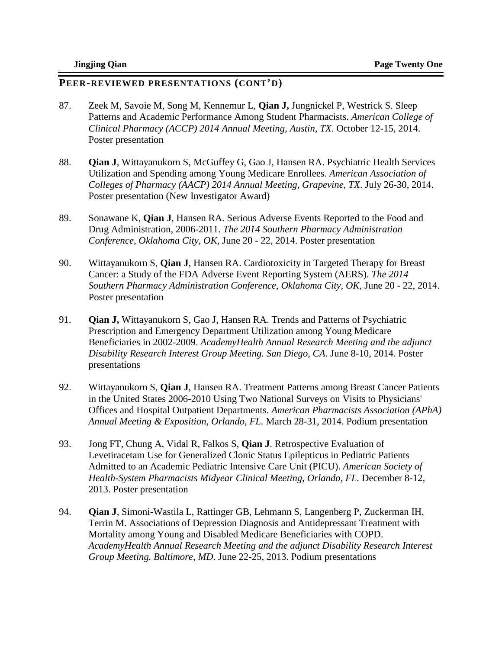- 87. Zeek M, Savoie M, Song M, Kennemur L, **Qian J,** Jungnickel P, Westrick S. Sleep Patterns and Academic Performance Among Student Pharmacists. *American College of Clinical Pharmacy (ACCP) 2014 Annual Meeting, Austin, TX*. October 12-15, 2014. Poster presentation
- 88. **Qian J**, Wittayanukorn S, McGuffey G, Gao J, Hansen RA. Psychiatric Health Services Utilization and Spending among Young Medicare Enrollees. *American Association of Colleges of Pharmacy (AACP) 2014 Annual Meeting, Grapevine, TX*. July 26-30, 2014. Poster presentation (New Investigator Award)
- 89. Sonawane K, **Qian J**, Hansen RA. Serious Adverse Events Reported to the Food and Drug Administration, 2006-2011. *The 2014 Southern Pharmacy Administration Conference, Oklahoma City, OK*, June 20 - 22, 2014. Poster presentation
- 90. Wittayanukorn S, **Qian J**, Hansen RA. Cardiotoxicity in Targeted Therapy for Breast Cancer: a Study of the FDA Adverse Event Reporting System (AERS). *The 2014 Southern Pharmacy Administration Conference, Oklahoma City, OK*, June 20 - 22, 2014. Poster presentation
- 91. **Qian J,** Wittayanukorn S, Gao J, Hansen RA. Trends and Patterns of Psychiatric Prescription and Emergency Department Utilization among Young Medicare Beneficiaries in 2002-2009. *AcademyHealth Annual Research Meeting and the adjunct Disability Research Interest Group Meeting. San Diego, CA*. June 8-10, 2014. Poster presentations
- 92. Wittayanukorn S, **Qian J**, Hansen RA. Treatment Patterns among Breast Cancer Patients in the United States 2006-2010 Using Two National Surveys on Visits to Physicians' Offices and Hospital Outpatient Departments. *American Pharmacists Association (APhA) Annual Meeting & Exposition, Orlando, FL.* March 28-31, 2014. Podium presentation
- 93. Jong FT, Chung A, Vidal R, Falkos S, **Qian J**. Retrospective Evaluation of Levetiracetam Use for Generalized Clonic Status Epilepticus in Pediatric Patients Admitted to an Academic Pediatric Intensive Care Unit (PICU). *American Society of Health-System Pharmacists Midyear Clinical Meeting, Orlando, FL.* December 8-12, 2013. Poster presentation
- 94. **Qian J**, Simoni-Wastila L, Rattinger GB, Lehmann S, Langenberg P, Zuckerman IH, Terrin M. Associations of Depression Diagnosis and Antidepressant Treatment with Mortality among Young and Disabled Medicare Beneficiaries with COPD. *AcademyHealth Annual Research Meeting and the adjunct Disability Research Interest Group Meeting. Baltimore, MD*. June 22-25, 2013. Podium presentations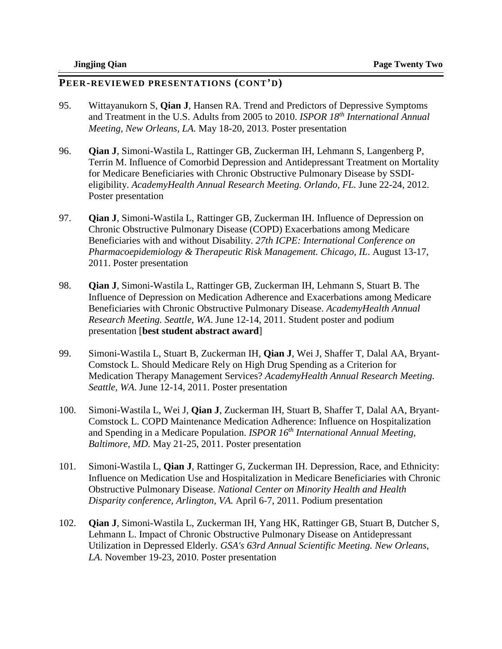- 95. Wittayanukorn S, **Qian J**, Hansen RA. Trend and Predictors of Depressive Symptoms and Treatment in the U.S. Adults from 2005 to 2010. *ISPOR 18th International Annual Meeting, New Orleans, LA.* May 18-20, 2013. Poster presentation
- 96. **Qian J**, Simoni-Wastila L, Rattinger GB, Zuckerman IH, Lehmann S, Langenberg P, Terrin M. Influence of Comorbid Depression and Antidepressant Treatment on Mortality for Medicare Beneficiaries with Chronic Obstructive Pulmonary Disease by SSDIeligibility. *AcademyHealth Annual Research Meeting. Orlando, FL.* June 22-24, 2012. Poster presentation
- 97. **Qian J**, Simoni-Wastila L, Rattinger GB, Zuckerman IH. Influence of Depression on Chronic Obstructive Pulmonary Disease (COPD) Exacerbations among Medicare Beneficiaries with and without Disability. *27th ICPE: International Conference on Pharmacoepidemiology & Therapeutic Risk Management. Chicago, IL*. August 13-17, 2011. Poster presentation
- 98. **Qian J**, Simoni-Wastila L, Rattinger GB, Zuckerman IH, Lehmann S, Stuart B. The Influence of Depression on Medication Adherence and Exacerbations among Medicare Beneficiaries with Chronic Obstructive Pulmonary Disease. *AcademyHealth Annual Research Meeting. Seattle, WA*. June 12-14, 2011. Student poster and podium presentation [**best student abstract award**]
- 99. Simoni-Wastila L, Stuart B, Zuckerman IH, **Qian J**, Wei J, Shaffer T, Dalal AA, Bryant-Comstock L. Should Medicare Rely on High Drug Spending as a Criterion for Medication Therapy Management Services? *AcademyHealth Annual Research Meeting. Seattle, WA*. June 12-14, 2011. Poster presentation
- 100. Simoni-Wastila L, Wei J, **Qian J**, Zuckerman IH, Stuart B, Shaffer T, Dalal AA, Bryant-Comstock L. COPD Maintenance Medication Adherence: Influence on Hospitalization and Spending in a Medicare Population. *ISPOR 16th International Annual Meeting, Baltimore, MD.* May 21-25, 2011. Poster presentation
- 101. Simoni-Wastila L, **Qian J**, Rattinger G, Zuckerman IH. Depression, Race, and Ethnicity: Influence on Medication Use and Hospitalization in Medicare Beneficiaries with Chronic Obstructive Pulmonary Disease. *National Center on Minority Health and Health Disparity conference, Arlington, VA.* April 6-7, 2011. Podium presentation
- 102. **Qian J**, Simoni-Wastila L, Zuckerman IH, Yang HK, Rattinger GB, Stuart B, Dutcher S, Lehmann L. Impact of Chronic Obstructive Pulmonary Disease on Antidepressant Utilization in Depressed Elderly. *GSA's 63rd Annual Scientific Meeting. New Orleans, LA*. November 19-23, 2010. Poster presentation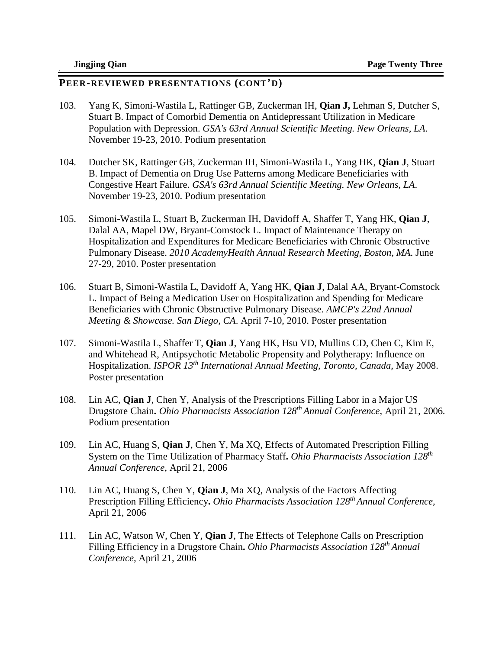- 103. Yang K, Simoni-Wastila L, Rattinger GB, Zuckerman IH, **Qian J,** Lehman S, Dutcher S, Stuart B. Impact of Comorbid Dementia on Antidepressant Utilization in Medicare Population with Depression. *GSA's 63rd Annual Scientific Meeting. New Orleans, LA*. November 19-23, 2010. Podium presentation
- 104. Dutcher SK, Rattinger GB, Zuckerman IH, Simoni-Wastila L, Yang HK, **Qian J**, Stuart B. Impact of Dementia on Drug Use Patterns among Medicare Beneficiaries with Congestive Heart Failure. *GSA's 63rd Annual Scientific Meeting. New Orleans, LA*. November 19-23, 2010. Podium presentation
- 105. Simoni-Wastila L, Stuart B, Zuckerman IH, Davidoff A, Shaffer T, Yang HK, **Qian J**, Dalal AA, Mapel DW, Bryant-Comstock L. Impact of Maintenance Therapy on Hospitalization and Expenditures for Medicare Beneficiaries with Chronic Obstructive Pulmonary Disease. *2010 AcademyHealth Annual Research Meeting, Boston, MA*. June 27-29, 2010. Poster presentation
- 106. Stuart B, Simoni-Wastila L, Davidoff A, Yang HK, **Qian J**, Dalal AA, Bryant-Comstock L. Impact of Being a Medication User on Hospitalization and Spending for Medicare Beneficiaries with Chronic Obstructive Pulmonary Disease. *AMCP's 22nd Annual Meeting & Showcase. San Diego, CA*. April 7-10, 2010. Poster presentation
- 107. Simoni-Wastila L, Shaffer T, **Qian J**, Yang HK, Hsu VD, Mullins CD, Chen C, Kim E, and Whitehead R, Antipsychotic Metabolic Propensity and Polytherapy: Influence on Hospitalization. *ISPOR 13th International Annual Meeting, Toronto, Canada,* May 2008. Poster presentation
- 108. Lin AC, **Qian J**, Chen Y, Analysis of the Prescriptions Filling Labor in a Major US Drugstore Chain**.** *Ohio Pharmacists Association 128th Annual Conference,* April 21, 2006. Podium presentation
- 109. Lin AC, Huang S, **Qian J**, Chen Y, Ma XQ, Effects of Automated Prescription Filling System on the Time Utilization of Pharmacy Staff**.** *Ohio Pharmacists Association 128th Annual Conference,* April 21, 2006
- 110. Lin AC, Huang S, Chen Y, **Qian J**, Ma XQ, Analysis of the Factors Affecting Prescription Filling Efficiency**.** *Ohio Pharmacists Association 128th Annual Conference,*  April 21, 2006
- 111. Lin AC, Watson W, Chen Y, **Qian J**, The Effects of Telephone Calls on Prescription Filling Efficiency in a Drugstore Chain**.** *Ohio Pharmacists Association 128th Annual Conference,* April 21, 2006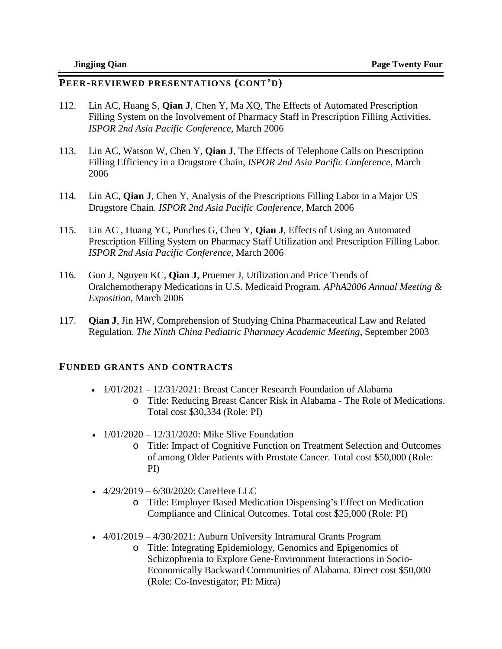#### **PEER-REVIEWED PRESENTATIONS (CONT'D)**

- 112. Lin AC, Huang S, **Qian J**, Chen Y, Ma XQ, The Effects of Automated Prescription Filling System on the Involvement of Pharmacy Staff in Prescription Filling Activities. *ISPOR 2nd Asia Pacific Conference*, March 2006
- 113. Lin AC, Watson W, Chen Y, **Qian J**, The Effects of Telephone Calls on Prescription Filling Efficiency in a Drugstore Chain, *ISPOR 2nd Asia Pacific Conference*, March 2006
- 114. Lin AC, **Qian J**, Chen Y, Analysis of the Prescriptions Filling Labor in a Major US Drugstore Chain. *ISPOR 2nd Asia Pacific Conference*, March 2006
- 115. Lin AC , Huang YC, Punches G, Chen Y, **Qian J**, Effects of Using an Automated Prescription Filling System on Pharmacy Staff Utilization and Prescription Filling Labor. *ISPOR 2nd Asia Pacific Conference*, March 2006
- 116. Guo J, Nguyen KC, **Qian J**, Pruemer J, Utilization and Price Trends of Oralchemotherapy Medications in U.S. Medicaid Program*. APhA2006 Annual Meeting & Exposition*, March 2006
- 117. **Qian J**, Jin HW, Comprehension of Studying China Pharmaceutical Law and Related Regulation. *The Ninth China Pediatric Pharmacy Academic Meeting*, September 2003

#### **FUNDED GRANTS AND CONTRACTS**

- $1/01/2021 12/31/2021$ : Breast Cancer Research Foundation of Alabama
	- o Title: Reducing Breast Cancer Risk in Alabama The Role of Medications. Total cost \$30,334 (Role: PI)
- $1/01/2020 12/31/2020$ : Mike Slive Foundation
	- o Title: Impact of Cognitive Function on Treatment Selection and Outcomes of among Older Patients with Prostate Cancer. Total cost \$50,000 (Role: PI)
- $4/29/2019 6/30/2020$ : CareHere LLC
	- o Title: Employer Based Medication Dispensing's Effect on Medication Compliance and Clinical Outcomes. Total cost \$25,000 (Role: PI)
- $4/01/2019 4/30/2021$ : Auburn University Intramural Grants Program
	- o Title: Integrating Epidemiology, Genomics and Epigenomics of Schizophrenia to Explore Gene-Environment Interactions in Socio-Economically Backward Communities of Alabama. Direct cost \$50,000 (Role: Co-Investigator; PI: Mitra)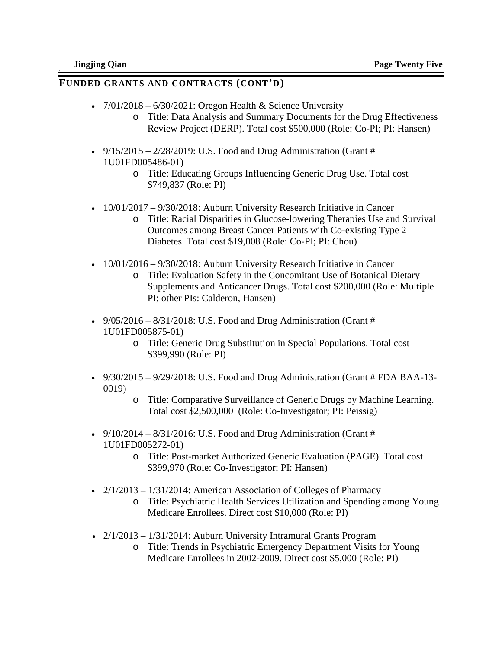### **FUNDED GRANTS AND CONTRACTS (CONT'D)**

- $7/01/2018 6/30/2021$ : Oregon Health & Science University
	- o Title: Data Analysis and Summary Documents for the Drug Effectiveness Review Project (DERP). Total cost \$500,000 (Role: Co-PI; PI: Hansen)
- $9/15/2015 2/28/2019$ : U.S. Food and Drug Administration (Grant # 1U01FD005486-01)
	- o Title: Educating Groups Influencing Generic Drug Use. Total cost \$749,837 (Role: PI)
- 10/01/2017 9/30/2018: Auburn University Research Initiative in Cancer
	- o Title: Racial Disparities in Glucose-lowering Therapies Use and Survival Outcomes among Breast Cancer Patients with Co-existing Type 2 Diabetes. Total cost \$19,008 (Role: Co-PI; PI: Chou)
- 10/01/2016 9/30/2018: Auburn University Research Initiative in Cancer
	- o Title: Evaluation Safety in the Concomitant Use of Botanical Dietary Supplements and Anticancer Drugs. Total cost \$200,000 (Role: Multiple PI; other PIs: Calderon, Hansen)
- $9/05/2016 8/31/2018$ : U.S. Food and Drug Administration (Grant # 1U01FD005875-01)
	- o Title: Generic Drug Substitution in Special Populations. Total cost \$399,990 (Role: PI)
- $9/30/2015 9/29/2018$ : U.S. Food and Drug Administration (Grant # FDA BAA-13-0019)
	- o Title: Comparative Surveillance of Generic Drugs by Machine Learning. Total cost \$2,500,000 (Role: Co-Investigator; PI: Peissig)
- $9/10/2014 8/31/2016$ : U.S. Food and Drug Administration (Grant # 1U01FD005272-01)
	- o Title: Post-market Authorized Generic Evaluation (PAGE). Total cost \$399,970 (Role: Co-Investigator; PI: Hansen)
- $2/1/2013 1/31/2014$ : American Association of Colleges of Pharmacy
	- o Title: Psychiatric Health Services Utilization and Spending among Young Medicare Enrollees. Direct cost \$10,000 (Role: PI)
- $2/1/2013 1/31/2014$ : Auburn University Intramural Grants Program
	- o Title: Trends in Psychiatric Emergency Department Visits for Young Medicare Enrollees in 2002-2009. Direct cost \$5,000 (Role: PI)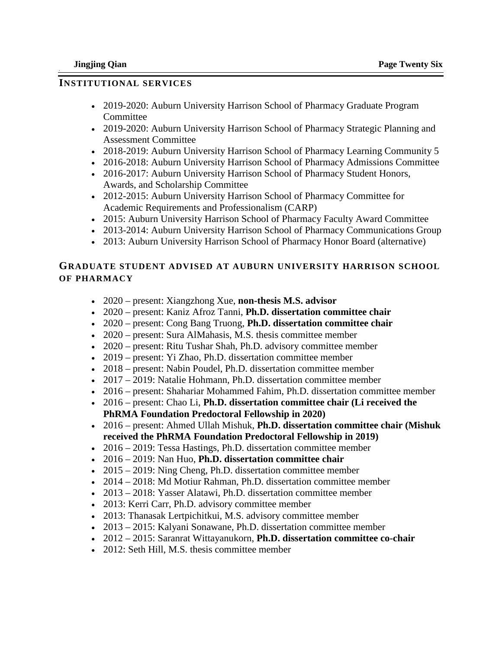### **INSTITUTIONAL SERVICES**

- 2019-2020: Auburn University Harrison School of Pharmacy Graduate Program Committee
- 2019-2020: Auburn University Harrison School of Pharmacy Strategic Planning and Assessment Committee
- 2018-2019: Auburn University Harrison School of Pharmacy Learning Community 5
- 2016-2018: Auburn University Harrison School of Pharmacy Admissions Committee
- 2016-2017: Auburn University Harrison School of Pharmacy Student Honors, Awards, and Scholarship Committee
- 2012-2015: Auburn University Harrison School of Pharmacy Committee for Academic Requirements and Professionalism (CARP)
- 2015: Auburn University Harrison School of Pharmacy Faculty Award Committee
- 2013-2014: Auburn University Harrison School of Pharmacy Communications Group
- 2013: Auburn University Harrison School of Pharmacy Honor Board (alternative)

# **GRADUATE STUDENT ADVISED AT AUBURN UNIVERSITY HARRISON SCHOOL OF PHARMACY**

- 2020 present: Xiangzhong Xue, **non-thesis M.S. advisor**
- 2020 present: Kaniz Afroz Tanni, **Ph.D. dissertation committee chair**
- 2020 present: Cong Bang Truong, **Ph.D. dissertation committee chair**
- 2020 present: Sura AlMahasis, M.S. thesis committee member
- 2020 present: Ritu Tushar Shah, Ph.D. advisory committee member
- 2019 present: Yi Zhao, Ph.D. dissertation committee member
- 2018 present: Nabin Poudel, Ph.D. dissertation committee member
- 2017 2019: Natalie Hohmann, Ph.D. dissertation committee member
- 2016 present: Shahariar Mohammed Fahim, Ph.D. dissertation committee member
- 2016 present: Chao Li, **Ph.D. dissertation committee chair (Li received the PhRMA Foundation Predoctoral Fellowship in 2020)**
- 2016 present: Ahmed Ullah Mishuk, **Ph.D. dissertation committee chair (Mishuk received the PhRMA Foundation Predoctoral Fellowship in 2019)**
- 2016 2019: Tessa Hastings, Ph.D. dissertation committee member
- 2016 2019: Nan Huo, **Ph.D. dissertation committee chair**
- 2015 2019: Ning Cheng, Ph.D. dissertation committee member
- 2014 2018: Md Motiur Rahman, Ph.D. dissertation committee member
- 2013 2018: Yasser Alatawi, Ph.D. dissertation committee member
- 2013: Kerri Carr, Ph.D. advisory committee member
- 2013: Thanasak Lertpichitkui, M.S. advisory committee member
- 2013 2015: Kalyani Sonawane, Ph.D. dissertation committee member
- 2012 2015: Saranrat Wittayanukorn, **Ph.D. dissertation committee co-chair**
- 2012: Seth Hill, M.S. thesis committee member